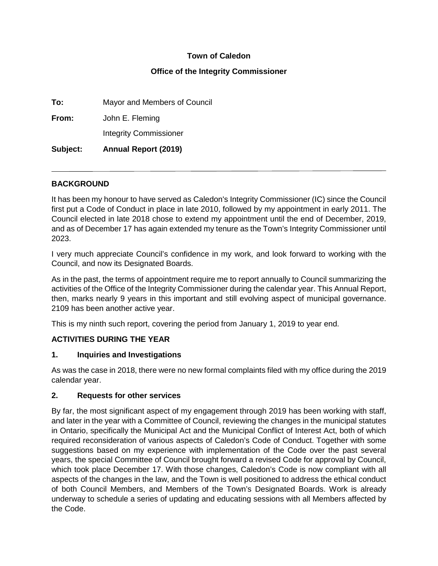### **Town of Caledon**

#### **Office of the Integrity Commissioner**

**To:** Mayor and Members of Council **From:** John E. Fleming

Integrity Commissioner

**Subject: Annual Report (2019)**

### **BACKGROUND**

It has been my honour to have served as Caledon's Integrity Commissioner (IC) since the Council first put a Code of Conduct in place in late 2010, followed by my appointment in early 2011. The Council elected in late 2018 chose to extend my appointment until the end of December, 2019, and as of December 17 has again extended my tenure as the Town's Integrity Commissioner until 2023.

I very much appreciate Council's confidence in my work, and look forward to working with the Council, and now its Designated Boards.

As in the past, the terms of appointment require me to report annually to Council summarizing the activities of the Office of the Integrity Commissioner during the calendar year. This Annual Report, then, marks nearly 9 years in this important and still evolving aspect of municipal governance. 2109 has been another active year.

This is my ninth such report, covering the period from January 1, 2019 to year end.

## **ACTIVITIES DURING THE YEAR**

## **1. Inquiries and Investigations**

As was the case in 2018, there were no new formal complaints filed with my office during the 2019 calendar year.

#### **2. Requests for other services**

By far, the most significant aspect of my engagement through 2019 has been working with staff, and later in the year with a Committee of Council, reviewing the changes in the municipal statutes in Ontario, specifically the Municipal Act and the Municipal Conflict of Interest Act, both of which required reconsideration of various aspects of Caledon's Code of Conduct. Together with some suggestions based on my experience with implementation of the Code over the past several years, the special Committee of Council brought forward a revised Code for approval by Council, which took place December 17. With those changes, Caledon's Code is now compliant with all aspects of the changes in the law, and the Town is well positioned to address the ethical conduct of both Council Members, and Members of the Town's Designated Boards. Work is already underway to schedule a series of updating and educating sessions with all Members affected by the Code.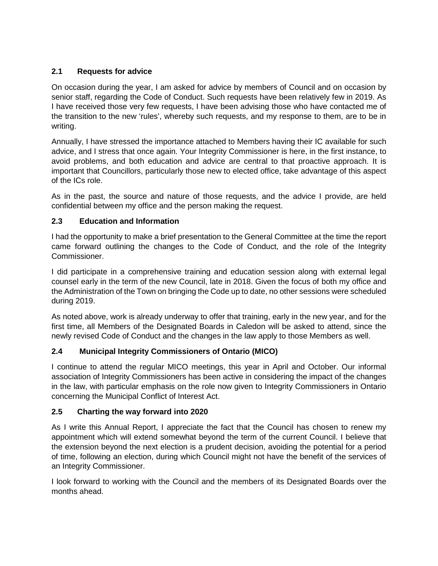# **2.1 Requests for advice**

On occasion during the year, I am asked for advice by members of Council and on occasion by senior staff, regarding the Code of Conduct. Such requests have been relatively few in 2019. As I have received those very few requests, I have been advising those who have contacted me of the transition to the new 'rules', whereby such requests, and my response to them, are to be in writing.

Annually, I have stressed the importance attached to Members having their IC available for such advice, and I stress that once again. Your Integrity Commissioner is here, in the first instance, to avoid problems, and both education and advice are central to that proactive approach. It is important that Councillors, particularly those new to elected office, take advantage of this aspect of the ICs role.

As in the past, the source and nature of those requests, and the advice I provide, are held confidential between my office and the person making the request.

## **2.3 Education and Information**

I had the opportunity to make a brief presentation to the General Committee at the time the report came forward outlining the changes to the Code of Conduct, and the role of the Integrity Commissioner.

I did participate in a comprehensive training and education session along with external legal counsel early in the term of the new Council, late in 2018. Given the focus of both my office and the Administration of the Town on bringing the Code up to date, no other sessions were scheduled during 2019.

As noted above, work is already underway to offer that training, early in the new year, and for the first time, all Members of the Designated Boards in Caledon will be asked to attend, since the newly revised Code of Conduct and the changes in the law apply to those Members as well.

## **2.4 Municipal Integrity Commissioners of Ontario (MICO)**

I continue to attend the regular MICO meetings, this year in April and October. Our informal association of Integrity Commissioners has been active in considering the impact of the changes in the law, with particular emphasis on the role now given to Integrity Commissioners in Ontario concerning the Municipal Conflict of Interest Act.

## **2.5 Charting the way forward into 2020**

As I write this Annual Report, I appreciate the fact that the Council has chosen to renew my appointment which will extend somewhat beyond the term of the current Council. I believe that the extension beyond the next election is a prudent decision, avoiding the potential for a period of time, following an election, during which Council might not have the benefit of the services of an Integrity Commissioner.

I look forward to working with the Council and the members of its Designated Boards over the months ahead.